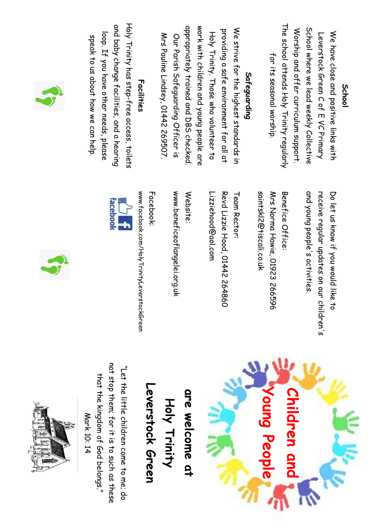|    | Holy Trinity has step-free access, toilets<br>and baby change facilities, and a hearing<br>loop. If you have other needs, please<br>speak to us about how we can help. | Facilities                                               | appropriately trained and DBS checked.<br>Mrs Pauline Lindsey, 01442 269507.<br>Our Parish Safeguarding Officer is | work with children and young people are<br>Holy Trinity. Those who volunteer to | We strive for the highest standards in<br>providing a safe environment for all at | Safeguarding             | The school attends Holy Trinity regularly<br>for its seasonal worship. | School where we lead weekly Collective<br>Worship and offer curriculum support. | We have close and positive links with<br>Leverstock Green C of E VC Primary     | <b>School</b> |
|----|------------------------------------------------------------------------------------------------------------------------------------------------------------------------|----------------------------------------------------------|--------------------------------------------------------------------------------------------------------------------|---------------------------------------------------------------------------------|-----------------------------------------------------------------------------------|--------------------------|------------------------------------------------------------------------|---------------------------------------------------------------------------------|---------------------------------------------------------------------------------|---------------|
| j. | facebook<br>$\frac{1}{2}$                                                                                                                                              | www.facebook.com/HolyTrinityLeverstockGreen<br>Facebook: | www.beneficeoflangelei.org.uk<br>Website:                                                                          | <u>Lizziehood@aol.com</u>                                                       | Revd Lizzie Hood, 01442 264860<br>Team Rector:                                    | saintskl/d@tiscali.co.uk | Benefice Office:<br>Mrs Norma Howie, 01923 266596                      | and young people's activities.                                                  | receive regular updates on our children'<br>Do let us krow if you would like to |               |







Leverstock Green **Leverstock Green** are welcome at **are welcome at** Holy Trinity **Holy Trinity**

not stop them; for it is to such as these not stop them; for it is to such as these "Let the little children come to me; do "Let the little children come to me; do that the kingdom of God belongs." that the kingdom of God belongs." Mark 10: 14 Mark 10: 14